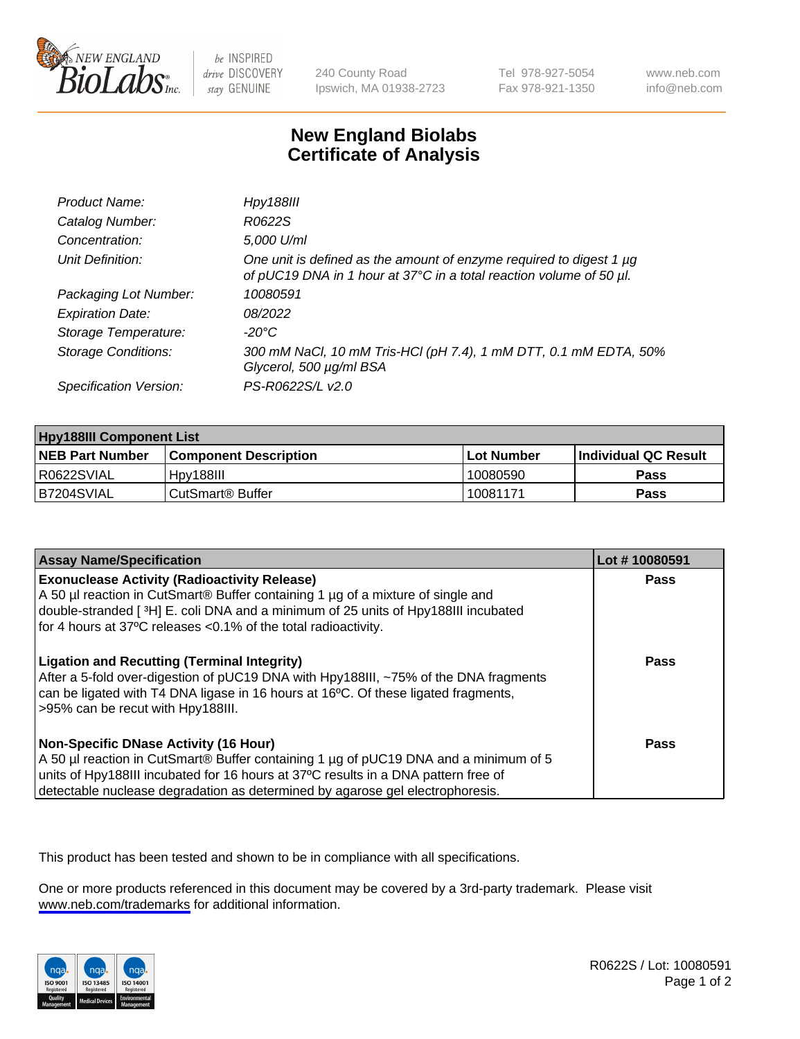

be INSPIRED drive DISCOVERY stay GENUINE

240 County Road Ipswich, MA 01938-2723 Tel 978-927-5054 Fax 978-921-1350

www.neb.com info@neb.com

## **New England Biolabs Certificate of Analysis**

| Product Name:              | Hpy188III                                                                                                                                  |
|----------------------------|--------------------------------------------------------------------------------------------------------------------------------------------|
| Catalog Number:            | R0622S                                                                                                                                     |
| Concentration:             | 5,000 U/ml                                                                                                                                 |
| Unit Definition:           | One unit is defined as the amount of enzyme required to digest 1 µg<br>of pUC19 DNA in 1 hour at 37°C in a total reaction volume of 50 µl. |
| Packaging Lot Number:      | 10080591                                                                                                                                   |
| <b>Expiration Date:</b>    | 08/2022                                                                                                                                    |
| Storage Temperature:       | -20°C                                                                                                                                      |
| <b>Storage Conditions:</b> | 300 mM NaCl, 10 mM Tris-HCl (pH 7.4), 1 mM DTT, 0.1 mM EDTA, 50%<br>Glycerol, 500 µg/ml BSA                                                |
| Specification Version:     | PS-R0622S/L v2.0                                                                                                                           |

| <b>Hpy188III Component List</b> |                              |            |                             |  |
|---------------------------------|------------------------------|------------|-----------------------------|--|
| <b>NEB Part Number</b>          | l Component Description      | Lot Number | <b>Individual QC Result</b> |  |
| I R0622SVIAL                    | Hpv188III                    | 10080590   | Pass                        |  |
| B7204SVIAL                      | CutSmart <sup>®</sup> Buffer | 10081171   | Pass                        |  |

| <b>Assay Name/Specification</b>                                                                                                                                                                                                                                                                             | Lot #10080591 |
|-------------------------------------------------------------------------------------------------------------------------------------------------------------------------------------------------------------------------------------------------------------------------------------------------------------|---------------|
| <b>Exonuclease Activity (Radioactivity Release)</b><br>A 50 µl reaction in CutSmart® Buffer containing 1 µg of a mixture of single and<br>double-stranded [3H] E. coli DNA and a minimum of 25 units of Hpy188III incubated                                                                                 | Pass          |
| for 4 hours at 37°C releases <0.1% of the total radioactivity.<br><b>Ligation and Recutting (Terminal Integrity)</b>                                                                                                                                                                                        | Pass          |
| After a 5-fold over-digestion of pUC19 DNA with Hpy188III, ~75% of the DNA fragments<br>can be ligated with T4 DNA ligase in 16 hours at 16°C. Of these ligated fragments,<br>>95% can be recut with Hpy188III.                                                                                             |               |
| <b>Non-Specific DNase Activity (16 Hour)</b><br>A 50 µl reaction in CutSmart® Buffer containing 1 µg of pUC19 DNA and a minimum of 5<br>units of Hpy188III incubated for 16 hours at 37°C results in a DNA pattern free of<br>detectable nuclease degradation as determined by agarose gel electrophoresis. | <b>Pass</b>   |

This product has been tested and shown to be in compliance with all specifications.

One or more products referenced in this document may be covered by a 3rd-party trademark. Please visit <www.neb.com/trademarks>for additional information.